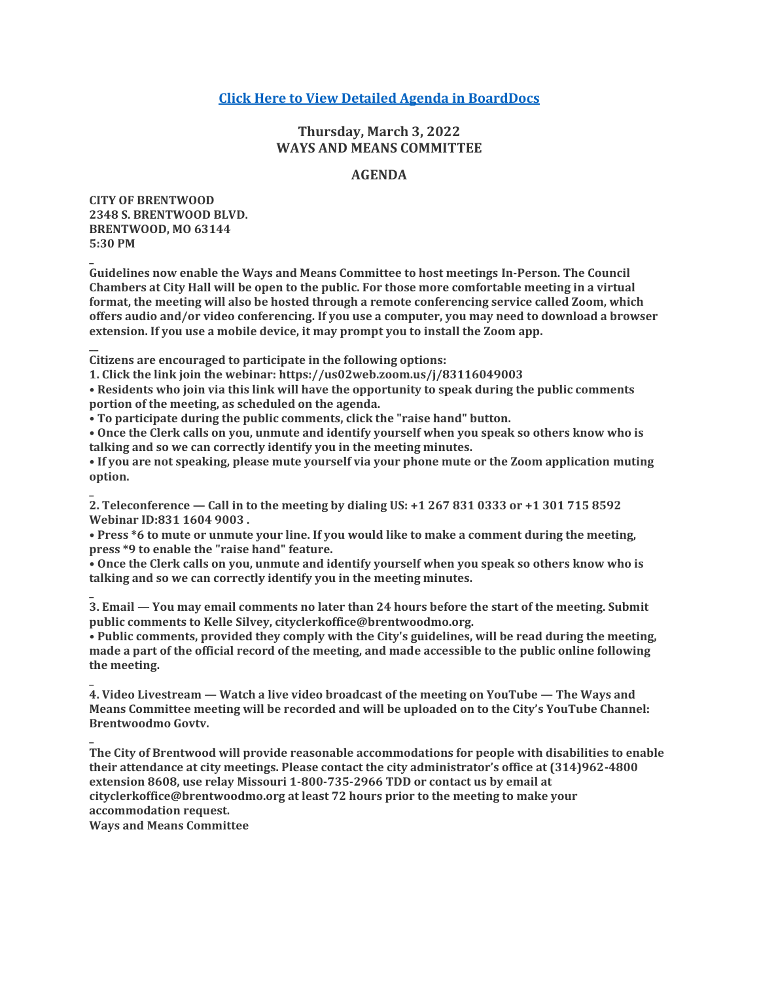# **Click [Here to View Detailed Agenda in BoardDocs](http://go.boarddocs.com/mo/cob/Board.nsf/goto?open&id=CB4QZU660F5F)**

# **Thursday, March 3, 2022 WAYS AND MEANS COMMITTEE**

## **AGENDA**

**CITY OF BRENTWOOD 2348 S. BRENTWOOD BLVD. BRENTWOOD, MO 63144 5:30 PM**

**\_**

**\_**

**\_**

**\_**

**\_**

**Guidelines now enable the Ways and Means Committee to host meetings In-Person. The Council Chambers at City Hall will be open to the public. For those more comfortable meeting in a virtual format, the meeting will also be hosted through a remote conferencing service called Zoom, which offers audio and/or video conferencing. If you use a computer, you may need to download a browser extension. If you use a mobile device, it may prompt you to install the Zoom app.**

**\_\_ Citizens are encouraged to participate in the following options:**

**1. Click the link join the webinar: https://us02web.zoom.us/j/83116049003**

**• Residents who join via this link will have the opportunity to speak during the public comments portion of the meeting, as scheduled on the agenda.**

**• To participate during the public comments, click the "raise hand" button.**

**• Once the Clerk calls on you, unmute and identify yourself when you speak so others know who is talking and so we can correctly identify you in the meeting minutes.**

**• If you are not speaking, please mute yourself via your phone mute or the Zoom application muting option.**

**2. Teleconference — Call in to the meeting by dialing US: +1 267 831 0333 or +1 301 715 8592 Webinar ID:831 1604 9003 .**

**• Press \*6 to mute or unmute your line. If you would like to make a comment during the meeting, press \*9 to enable the "raise hand" feature.**

**• Once the Clerk calls on you, unmute and identify yourself when you speak so others know who is talking and so we can correctly identify you in the meeting minutes.**

**3. Email — You may email comments no later than 24 hours before the start of the meeting. Submit public comments to Kelle Silvey, cityclerkoffice@brentwoodmo.org.**

**• Public comments, provided they comply with the City's guidelines, will be read during the meeting, made a part of the official record of the meeting, and made accessible to the public online following the meeting.**

**4. Video Livestream — Watch a live video broadcast of the meeting on YouTube — The Ways and Means Committee meeting will be recorded and will be uploaded on to the City's YouTube Channel: Brentwoodmo Govtv.**

**The City of Brentwood will provide reasonable accommodations for people with disabilities to enable their attendance at city meetings. Please contact the city administrator's office at (314)962-4800 extension 8608, use relay Missouri 1-800-735-2966 TDD or contact us by email at cityclerkoffice@brentwoodmo.org at least 72 hours prior to the meeting to make your accommodation request.**

**Ways and Means Committee**